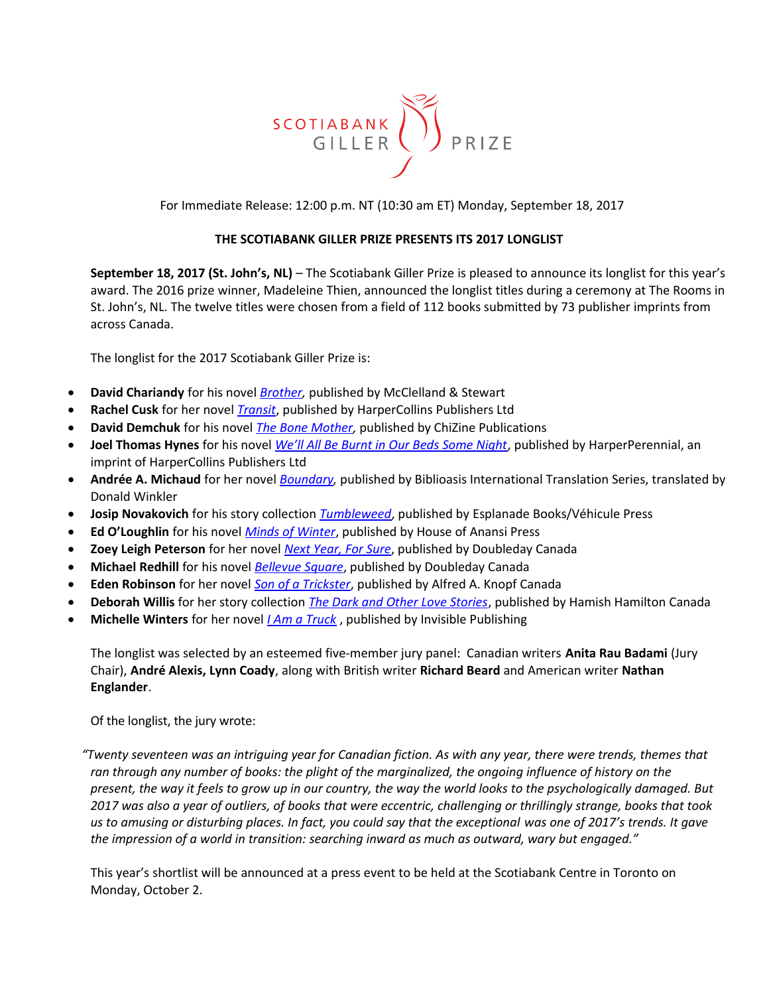

For Immediate Release: 12:00 p.m. NT (10:30 am ET) Monday, September 18, 2017

### **THE SCOTIABANK GILLER PRIZE PRESENTS ITS 2017 LONGLIST**

**September 18, 2017 (St. John's, NL)** – The Scotiabank Giller Prize is pleased to announce its longlist for this year's award. The 2016 prize winner, Madeleine Thien, announced the longlist titles during a ceremony at The Rooms in St. John's, NL. The twelve titles were chosen from a field of 112 books submitted by 73 publisher imprints from across Canada.

The longlist for the 2017 Scotiabank Giller Prize is:

- **David Chariandy** for his novel *[Brother,](http://penguinrandomhouse.ca/books/26281/brother#9780771022906)* published by McClelland & Stewart
- **Rachel Cusk** for her novel *[Transit](http://www.harpercollins.ca/9781443447126/transit)*, published by HarperCollins Publishers Ltd
- **David Demchuk** for his novel *[The Bone Mother,](http://chizinepub.com/the-bone-mother/)* published by ChiZine Publications
- **Joel Thomas Hynes** for his novel *[We'll All Be Burnt in Our Beds Some Night](http://www.harpercollins.ca/9781443447836/well-all-be-burnt-in-our-beds-some-night)*, published by HarperPerennial, an imprint of HarperCollins Publishers Ltd
- **Andrée A. Michaud** for her novel *[Boundary,](http://biblioasis.com/shop/new-release/boundary/)* published by Biblioasis International Translation Series, translated by Donald Winkler
- **Josip Novakovich** for his story collection *[Tumbleweed](http://www.vehiculepress.com/q.php?EAN=9781550654516)*, published by Esplanade Books/Véhicule Press
- **Ed O'Loughlin** for his novel *[Minds of Winter](https://houseofanansi.com/products/minds-of-winter)*, published by House of Anansi Press
- **Zoey Leigh Peterson** for her novel *[Next Year, For Sure](http://penguinrandomhouse.ca/books/538926/next-year-sure#9780385686778)*, published by Doubleday Canada
- **Michael Redhill** for his novel *[Bellevue Square](http://penguinrandomhouse.ca/books/249783/bellevue-square#9780385684835)*, published by Doubleday Canada
- **Eden Robinson** for her novel *[Son of a Trickster](http://penguinrandomhouse.ca/books/532532/son-trickster#9780345810786)*, published by Alfred A. Knopf Canada
- **Deborah Willis** for her story collection *[The Dark and Other Love Stories](http://penguinrandomhouse.ca/books/417560/dark-and-other-love-stories#9780670069576)*, published by Hamish Hamilton Canada
- **Michelle Winters** for her novel *[I Am a Truck](http://invisiblepublishing.com/product/i-am-a-truck/)* , published by Invisible Publishing

The longlist was selected by an esteemed five-member jury panel: Canadian writers **Anita Rau Badami** (Jury Chair), **André Alexis, Lynn Coady**, along with British writer **Richard Beard** and American writer **Nathan Englander**.

Of the longlist, the jury wrote:

*"Twenty seventeen was an intriguing year for Canadian fiction. As with any year, there were trends, themes that ran through any number of books: the plight of the marginalized, the ongoing influence of history on the present, the way it feels to grow up in our country, the way the world looks to the psychologically damaged. But 2017 was also a year of outliers, of books that were eccentric, challenging or thrillingly strange, books that took us to amusing or disturbing places. In fact, you could say that the exceptional was one of 2017's trends. It gave the impression of a world in transition: searching inward as much as outward, wary but engaged."*

This year's shortlist will be announced at a press event to be held at the Scotiabank Centre in Toronto on Monday, October 2.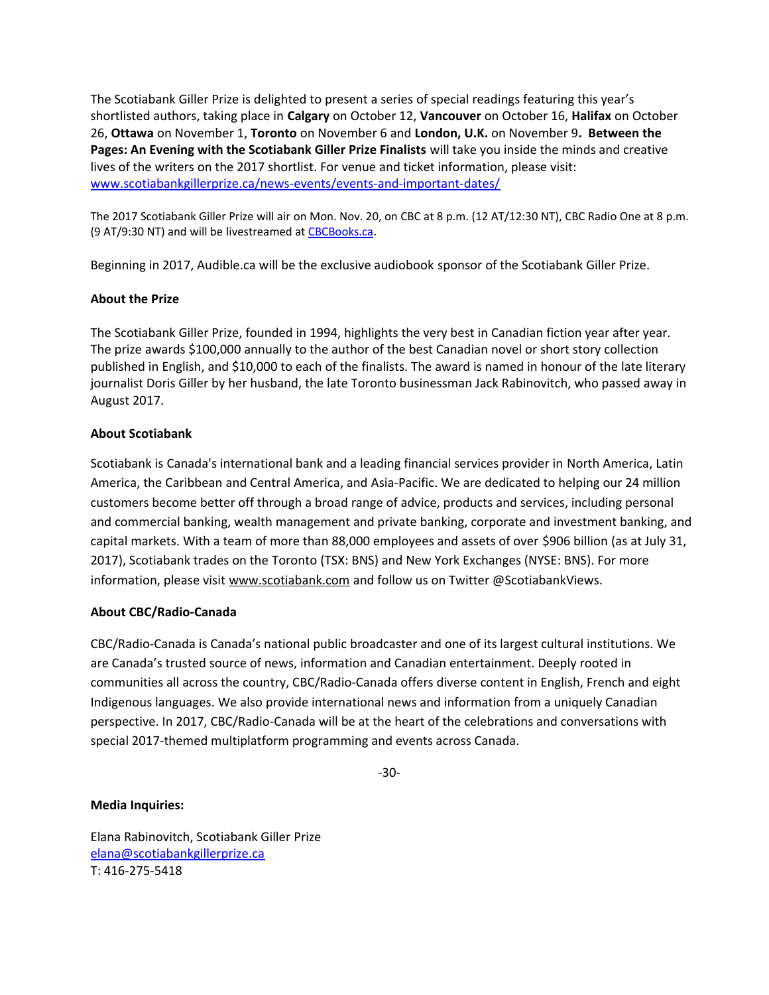The Scotiabank Giller Prize is delighted to present a series of special readings featuring this year's shortlisted authors, taking place in **Calgary** on October 12, **Vancouver** on October 16, **Halifax** on October 26, **Ottawa** on November 1, **Toronto** on November 6 and **London, U.K.** on November 9**. Between the Pages: An Evening with the Scotiabank Giller Prize Finalists** will take you inside the minds and creative lives of the writers on the 2017 shortlist. For venue and ticket information, please visit: [www.scotiabankgillerprize.ca/news-events/events-and-important-dates/](http://www.scotiabankgillerprize.ca/news-events/events-and-important-dates/)

The 2017 Scotiabank Giller Prize will air on Mon. Nov. 20, on CBC at 8 p.m. (12 AT/12:30 NT), CBC Radio One at 8 p.m. (9 AT/9:30 NT) and will be livestreamed at [CBCBooks.ca.](http://www.cbcbooks.ca/)

Beginning in 2017, Audible.ca will be the exclusive audiobook sponsor of the Scotiabank Giller Prize.

## **About the Prize**

The Scotiabank Giller Prize, founded in 1994, highlights the very best in Canadian fiction year after year. The prize awards \$100,000 annually to the author of the best Canadian novel or short story collection published in English, and \$10,000 to each of the finalists. The award is named in honour of the late literary journalist Doris Giller by her husband, the late Toronto businessman Jack Rabinovitch, who passed away in August 2017.

## **About Scotiabank**

Scotiabank is Canada's international bank and a leading financial services provider in North America, Latin America, the Caribbean and Central America, and Asia-Pacific. We are dedicated to helping our 24 million customers become better off through a broad range of advice, products and services, including personal and commercial banking, wealth management and private banking, corporate and investment banking, and capital markets. With a team of more than 88,000 employees and assets of over \$906 billion (as at July 31, 2017), Scotiabank trades on the Toronto (TSX: BNS) and New York Exchanges (NYSE: BNS). For more information, please visit [www.scotiabank.com](http://www.scotiabank.com/) and follow us on Twitter @ScotiabankViews.

# **About CBC/Radio-Canada**

CBC/Radio-Canada is Canada's national public broadcaster and one of its largest cultural institutions. We are Canada's trusted source of news, information and Canadian entertainment. Deeply rooted in communities all across the country, CBC/Radio-Canada offers diverse content in English, French and eight Indigenous languages. We also provide international news and information from a uniquely Canadian perspective. In 2017, CBC/Radio-Canada will be at the heart of the celebrations and conversations with special 2017-themed multiplatform programming and events across Canada.

-30-

### **Media Inquiries:**

Elana Rabinovitch, Scotiabank Giller Prize [elana@scotiabankgillerprize.ca](mailto:elana@scotiabankgillerprize.ca)  T: 416-275-5418